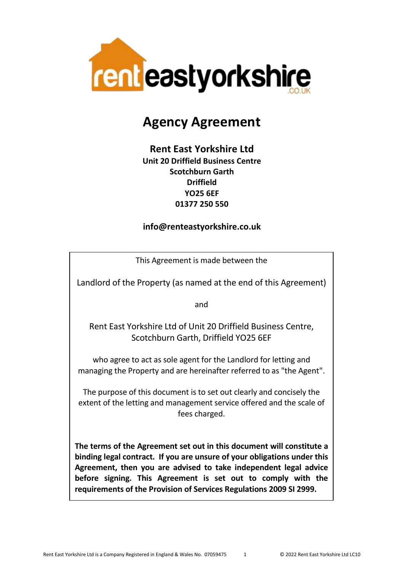

# **Agency Agreement**

# **Rent East Yorkshire Ltd Unit 20 Driffield Business Centre Scotchburn Garth Driffield YO25 6EF 01377 250 550**

#### **info@renteastyorkshire.co.uk**

This Agreement is made between the

Landlord of the Property (as named at the end of this Agreement)

and

Rent East Yorkshire Ltd of Unit 20 Driffield Business Centre, Scotchburn Garth, Driffield YO25 6EF

who agree to act as sole agent for the Landlord for letting and managing the Property and are hereinafter referred to as "the Agent".

The purpose of this document is to set out clearly and concisely the extent of the letting and management service offered and the scale of fees charged.

**The terms of the Agreement set out in this document will constitute a binding legal contract. If you are unsure of your obligations under this Agreement, then you are advised to take independent legal advice before signing. This Agreement is set out to comply with the requirements of the Provision of Services Regulations 2009 SI 2999.**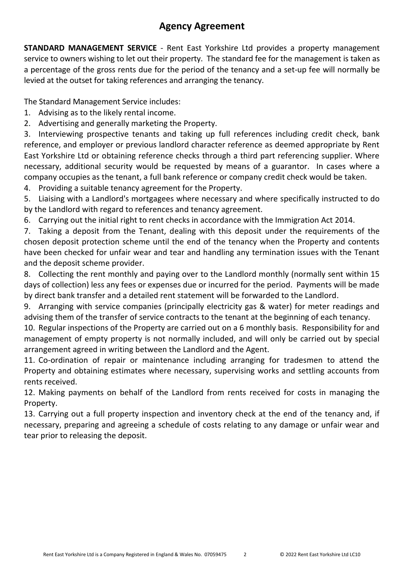# **Agency Agreement**

**STANDARD MANAGEMENT SERVICE** - Rent East Yorkshire Ltd provides a property management service to owners wishing to let out their property. The standard fee for the management is taken as a percentage of the gross rents due for the period of the tenancy and a set-up fee will normally be levied at the outset for taking references and arranging the tenancy.

The Standard Management Service includes:

- 1. Advising as to the likely rental income.
- 2. Advertising and generally marketing the Property.

3. Interviewing prospective tenants and taking up full references including credit check, bank reference, and employer or previous landlord character reference as deemed appropriate by Rent East Yorkshire Ltd or obtaining reference checks through a third part referencing supplier. Where necessary, additional security would be requested by means of a guarantor. In cases where a company occupies as the tenant, a full bank reference or company credit check would be taken.

4. Providing a suitable tenancy agreement for the Property.

5. Liaising with a Landlord's mortgagees where necessary and where specifically instructed to do by the Landlord with regard to references and tenancy agreement.

6. Carrying out the initial right to rent checks in accordance with the Immigration Act 2014.

7. Taking a deposit from the Tenant, dealing with this deposit under the requirements of the chosen deposit protection scheme until the end of the tenancy when the Property and contents have been checked for unfair wear and tear and handling any termination issues with the Tenant and the deposit scheme provider.

8. Collecting the rent monthly and paying over to the Landlord monthly (normally sent within 15 days of collection) less any fees or expenses due or incurred for the period. Payments will be made by direct bank transfer and a detailed rent statement will be forwarded to the Landlord.

9. Arranging with service companies (principally electricity gas & water) for meter readings and advising them of the transfer of service contracts to the tenant at the beginning of each tenancy.

10. Regular inspections of the Property are carried out on a 6 monthly basis. Responsibility for and management of empty property is not normally included, and will only be carried out by special arrangement agreed in writing between the Landlord and the Agent.

11. Co-ordination of repair or maintenance including arranging for tradesmen to attend the Property and obtaining estimates where necessary, supervising works and settling accounts from rents received.

12. Making payments on behalf of the Landlord from rents received for costs in managing the Property.

13. Carrying out a full property inspection and inventory check at the end of the tenancy and, if necessary, preparing and agreeing a schedule of costs relating to any damage or unfair wear and tear prior to releasing the deposit.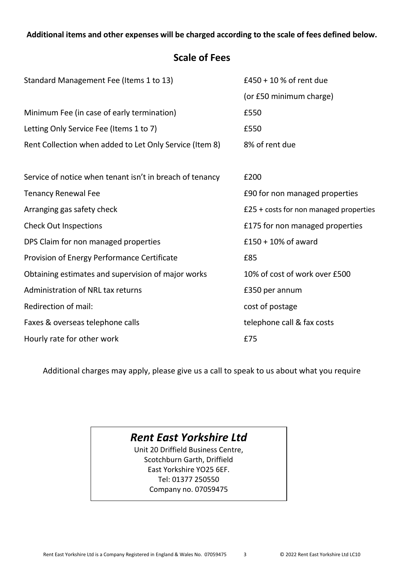#### **Additional items and other expenses will be charged according to the scale of fees defined below.**

# **Scale of Fees**

| Standard Management Fee (Items 1 to 13)                  | £450 + 10 % of rent due                         |
|----------------------------------------------------------|-------------------------------------------------|
|                                                          | (or £50 minimum charge)                         |
| Minimum Fee (in case of early termination)               | £550                                            |
| Letting Only Service Fee (Items 1 to 7)                  | £550                                            |
| Rent Collection when added to Let Only Service (Item 8)  | 8% of rent due                                  |
|                                                          |                                                 |
| Service of notice when tenant isn't in breach of tenancy | £200                                            |
| <b>Tenancy Renewal Fee</b>                               | £90 for non managed properties                  |
| Arranging gas safety check                               | $£25 + \text{costs}$ for non managed properties |
| <b>Check Out Inspections</b>                             | £175 for non managed properties                 |
| DPS Claim for non managed properties                     | $£150 + 10%$ of award                           |
| Provision of Energy Performance Certificate              | £85                                             |
| Obtaining estimates and supervision of major works       | 10% of cost of work over £500                   |
| Administration of NRL tax returns                        | £350 per annum                                  |
| Redirection of mail:                                     | cost of postage                                 |
| Faxes & overseas telephone calls                         | telephone call & fax costs                      |
| Hourly rate for other work                               | £75                                             |

Additional charges may apply, please give us a call to speak to us about what you require

# *Rent East Yorkshire Ltd*

Unit 20 Driffield Business Centre, Scotchburn Garth, Driffield East Yorkshire YO25 6EF. Tel: 01377 250550 Company no. 07059475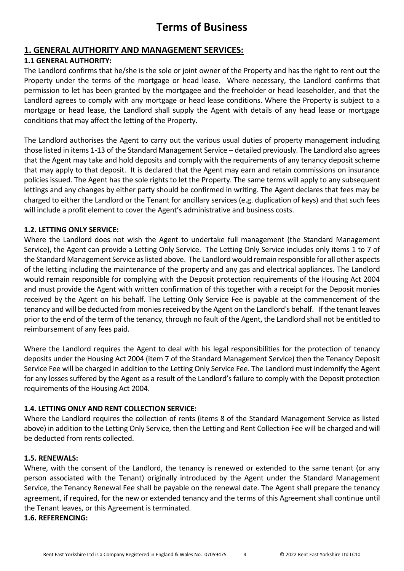# **Terms of Business**

#### **1. GENERAL AUTHORITY AND MANAGEMENT SERVICES:**

#### **1.1 GENERAL AUTHORITY:**

The Landlord confirms that he/she is the sole or joint owner of the Property and has the right to rent out the Property under the terms of the mortgage or head lease. Where necessary, the Landlord confirms that permission to let has been granted by the mortgagee and the freeholder or head leaseholder, and that the Landlord agrees to comply with any mortgage or head lease conditions. Where the Property is subject to a mortgage or head lease, the Landlord shall supply the Agent with details of any head lease or mortgage conditions that may affect the letting of the Property.

The Landlord authorises the Agent to carry out the various usual duties of property management including those listed in items 1-13 of the Standard Management Service – detailed previously. The Landlord also agrees that the Agent may take and hold deposits and comply with the requirements of any tenancy deposit scheme that may apply to that deposit. It is declared that the Agent may earn and retain commissions on insurance policies issued. The Agent has the sole rights to let the Property. The same terms will apply to any subsequent lettings and any changes by either party should be confirmed in writing. The Agent declares that fees may be charged to either the Landlord or the Tenant for ancillary services (e.g. duplication of keys) and that such fees will include a profit element to cover the Agent's administrative and business costs.

#### **1.2. LETTING ONLY SERVICE:**

Where the Landlord does not wish the Agent to undertake full management (the Standard Management Service), the Agent can provide a Letting Only Service. The Letting Only Service includes only items 1 to 7 of the Standard Management Service as listed above. The Landlord would remain responsible for all other aspects of the letting including the maintenance of the property and any gas and electrical appliances. The Landlord would remain responsible for complying with the Deposit protection requirements of the Housing Act 2004 and must provide the Agent with written confirmation of this together with a receipt for the Deposit monies received by the Agent on his behalf. The Letting Only Service Fee is payable at the commencement of the tenancy and will be deducted from monies received by the Agent on the Landlord's behalf. If the tenant leaves prior to the end of the term of the tenancy, through no fault of the Agent, the Landlord shall not be entitled to reimbursement of any fees paid.

Where the Landlord requires the Agent to deal with his legal responsibilities for the protection of tenancy deposits under the Housing Act 2004 (item 7 of the Standard Management Service) then the Tenancy Deposit Service Fee will be charged in addition to the Letting Only Service Fee. The Landlord must indemnify the Agent for any losses suffered by the Agent as a result of the Landlord's failure to comply with the Deposit protection requirements of the Housing Act 2004.

#### **1.4. LETTING ONLY AND RENT COLLECTION SERVICE:**

Where the Landlord requires the collection of rents (items 8 of the Standard Management Service as listed above) in addition to the Letting Only Service, then the Letting and Rent Collection Fee will be charged and will be deducted from rents collected.

#### **1.5. RENEWALS:**

Where, with the consent of the Landlord, the tenancy is renewed or extended to the same tenant (or any person associated with the Tenant) originally introduced by the Agent under the Standard Management Service, the Tenancy Renewal Fee shall be payable on the renewal date. The Agent shall prepare the tenancy agreement, if required, for the new or extended tenancy and the terms of this Agreement shall continue until the Tenant leaves, or this Agreement is terminated.

#### **1.6. REFERENCING:**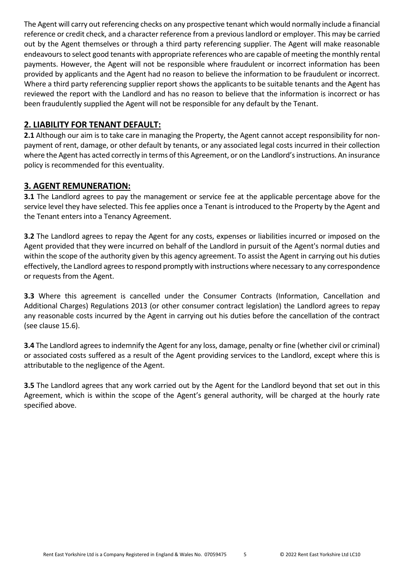The Agent will carry out referencing checks on any prospective tenant which would normally include a financial reference or credit check, and a character reference from a previous landlord or employer. This may be carried out by the Agent themselves or through a third party referencing supplier. The Agent will make reasonable endeavours to select good tenants with appropriate references who are capable of meeting the monthly rental payments. However, the Agent will not be responsible where fraudulent or incorrect information has been provided by applicants and the Agent had no reason to believe the information to be fraudulent or incorrect. Where a third party referencing supplier report shows the applicants to be suitable tenants and the Agent has reviewed the report with the Landlord and has no reason to believe that the information is incorrect or has been fraudulently supplied the Agent will not be responsible for any default by the Tenant.

#### **2. LIABILITY FOR TENANT DEFAULT:**

**2.1** Although our aim is to take care in managing the Property, the Agent cannot accept responsibility for nonpayment of rent, damage, or other default by tenants, or any associated legal costs incurred in their collection where the Agent has acted correctly in terms of this Agreement, or on the Landlord's instructions. An insurance policy is recommended for this eventuality.

#### **3. AGENT REMUNERATION:**

**3.1** The Landlord agrees to pay the management or service fee at the applicable percentage above for the service level they have selected. This fee applies once a Tenant is introduced to the Property by the Agent and the Tenant enters into a Tenancy Agreement.

**3.2** The Landlord agrees to repay the Agent for any costs, expenses or liabilities incurred or imposed on the Agent provided that they were incurred on behalf of the Landlord in pursuit of the Agent's normal duties and within the scope of the authority given by this agency agreement. To assist the Agent in carrying out his duties effectively, the Landlord agrees to respond promptly with instructions where necessary to any correspondence or requests from the Agent.

**3.3** Where this agreement is cancelled under the Consumer Contracts (Information, Cancellation and Additional Charges) Regulations 2013 (or other consumer contract legislation) the Landlord agrees to repay any reasonable costs incurred by the Agent in carrying out his duties before the cancellation of the contract (see clause 15.6).

**3.4** The Landlord agrees to indemnify the Agent for any loss, damage, penalty or fine (whether civil or criminal) or associated costs suffered as a result of the Agent providing services to the Landlord, except where this is attributable to the negligence of the Agent.

**3.5** The Landlord agrees that any work carried out by the Agent for the Landlord beyond that set out in this Agreement, which is within the scope of the Agent's general authority, will be charged at the hourly rate specified above.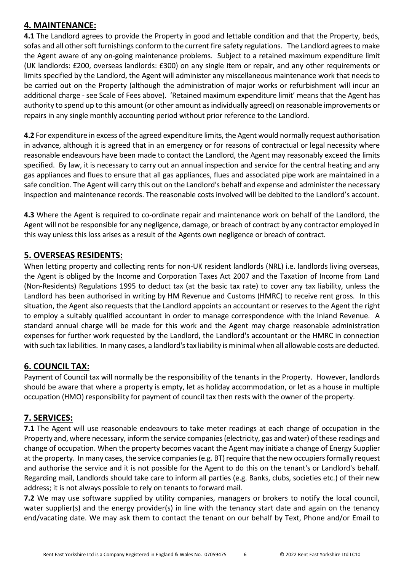#### **4. MAINTENANCE:**

**4.1** The Landlord agrees to provide the Property in good and lettable condition and that the Property, beds, sofas and all other soft furnishings conform to the current fire safety regulations. The Landlord agrees to make the Agent aware of any on-going maintenance problems. Subject to a retained maximum expenditure limit (UK landlords: £200, overseas landlords: £300) on any single item or repair, and any other requirements or limits specified by the Landlord, the Agent will administer any miscellaneous maintenance work that needs to be carried out on the Property (although the administration of major works or refurbishment will incur an additional charge - see Scale of Fees above). 'Retained maximum expenditure limit' means that the Agent has authority to spend up to this amount (or other amount as individually agreed) on reasonable improvements or repairs in any single monthly accounting period without prior reference to the Landlord.

**4.2** For expenditure in excess of the agreed expenditure limits, the Agent would normally request authorisation in advance, although it is agreed that in an emergency or for reasons of contractual or legal necessity where reasonable endeavours have been made to contact the Landlord, the Agent may reasonably exceed the limits specified. By law, it is necessary to carry out an annual inspection and service for the central heating and any gas appliances and flues to ensure that all gas appliances, flues and associated pipe work are maintained in a safe condition. The Agent will carry this out on the Landlord's behalf and expense and administer the necessary inspection and maintenance records. The reasonable costs involved will be debited to the Landlord's account.

**4.3** Where the Agent is required to co-ordinate repair and maintenance work on behalf of the Landlord, the Agent will not be responsible for any negligence, damage, or breach of contract by any contractor employed in this way unless this loss arises as a result of the Agents own negligence or breach of contract.

## **5. OVERSEAS RESIDENTS:**

When letting property and collecting rents for non-UK resident landlords (NRL) i.e. landlords living overseas, the Agent is obliged by the Income and Corporation Taxes Act 2007 and the Taxation of Income from Land (Non-Residents) Regulations 1995 to deduct tax (at the basic tax rate) to cover any tax liability, unless the Landlord has been authorised in writing by HM Revenue and Customs (HMRC) to receive rent gross. In this situation, the Agent also requests that the Landlord appoints an accountant or reserves to the Agent the right to employ a suitably qualified accountant in order to manage correspondence with the Inland Revenue. A standard annual charge will be made for this work and the Agent may charge reasonable administration expenses for further work requested by the Landlord, the Landlord's accountant or the HMRC in connection with such tax liabilities. In many cases, a landlord's tax liability is minimal when all allowable costs are deducted.

## **6. COUNCIL TAX:**

Payment of Council tax will normally be the responsibility of the tenants in the Property. However, landlords should be aware that where a property is empty, let as holiday accommodation, or let as a house in multiple occupation (HMO) responsibility for payment of council tax then rests with the owner of the property.

## **7. SERVICES:**

**7.1** The Agent will use reasonable endeavours to take meter readings at each change of occupation in the Property and, where necessary, inform the service companies (electricity, gas and water) of these readings and change of occupation. When the property becomes vacant the Agent may initiate a change of Energy Supplier at the property. In many cases, the service companies (e.g. BT) require that the new occupiers formally request and authorise the service and it is not possible for the Agent to do this on the tenant's or Landlord's behalf. Regarding mail, Landlords should take care to inform all parties (e.g. Banks, clubs, societies etc.) of their new address; it is not always possible to rely on tenants to forward mail.

**7.2** We may use software supplied by utility companies, managers or brokers to notify the local council, water supplier(s) and the energy provider(s) in line with the tenancy start date and again on the tenancy end/vacating date. We may ask them to contact the tenant on our behalf by Text, Phone and/or Email to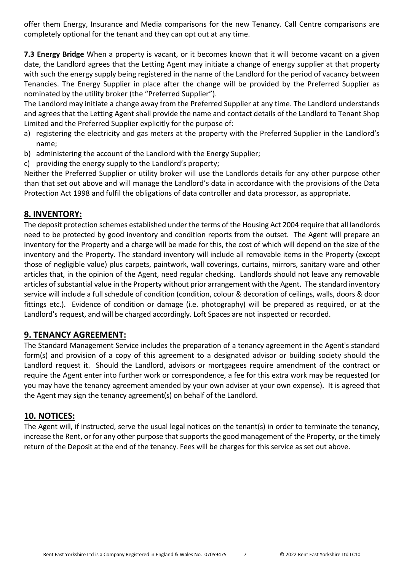offer them Energy, Insurance and Media comparisons for the new Tenancy. Call Centre comparisons are completely optional for the tenant and they can opt out at any time.

**7.3 Energy Bridge** When a property is vacant, or it becomes known that it will become vacant on a given date, the Landlord agrees that the Letting Agent may initiate a change of energy supplier at that property with such the energy supply being registered in the name of the Landlord for the period of vacancy between Tenancies. The Energy Supplier in place after the change will be provided by the Preferred Supplier as nominated by the utility broker (the "Preferred Supplier").

The Landlord may initiate a change away from the Preferred Supplier at any time. The Landlord understands and agrees that the Letting Agent shall provide the name and contact details of the Landlord to Tenant Shop Limited and the Preferred Supplier explicitly for the purpose of:

- a) registering the electricity and gas meters at the property with the Preferred Supplier in the Landlord's name;
- b) administering the account of the Landlord with the Energy Supplier;
- c) providing the energy supply to the Landlord's property;

Neither the Preferred Supplier or utility broker will use the Landlords details for any other purpose other than that set out above and will manage the Landlord's data in accordance with the provisions of the Data Protection Act 1998 and fulfil the obligations of data controller and data processor, as appropriate.

#### **8. INVENTORY:**

The deposit protection schemes established under the terms of the Housing Act 2004 require that all landlords need to be protected by good inventory and condition reports from the outset. The Agent will prepare an inventory for the Property and a charge will be made for this, the cost of which will depend on the size of the inventory and the Property. The standard inventory will include all removable items in the Property (except those of negligible value) plus carpets, paintwork, wall coverings, curtains, mirrors, sanitary ware and other articles that, in the opinion of the Agent, need regular checking. Landlords should not leave any removable articles of substantial value in the Property without prior arrangement with the Agent. The standard inventory service will include a full schedule of condition (condition, colour & decoration of ceilings, walls, doors & door fittings etc.). Evidence of condition or damage (i.e. photography) will be prepared as required, or at the Landlord's request, and will be charged accordingly. Loft Spaces are not inspected or recorded.

#### **9. TENANCY AGREEMENT:**

The Standard Management Service includes the preparation of a tenancy agreement in the Agent's standard form(s) and provision of a copy of this agreement to a designated advisor or building society should the Landlord request it. Should the Landlord, advisors or mortgagees require amendment of the contract or require the Agent enter into further work or correspondence, a fee for this extra work may be requested (or you may have the tenancy agreement amended by your own adviser at your own expense). It is agreed that the Agent may sign the tenancy agreement(s) on behalf of the Landlord.

#### **10. NOTICES:**

The Agent will, if instructed, serve the usual legal notices on the tenant(s) in order to terminate the tenancy, increase the Rent, or for any other purpose that supports the good management of the Property, or the timely return of the Deposit at the end of the tenancy. Fees will be charges for this service as set out above.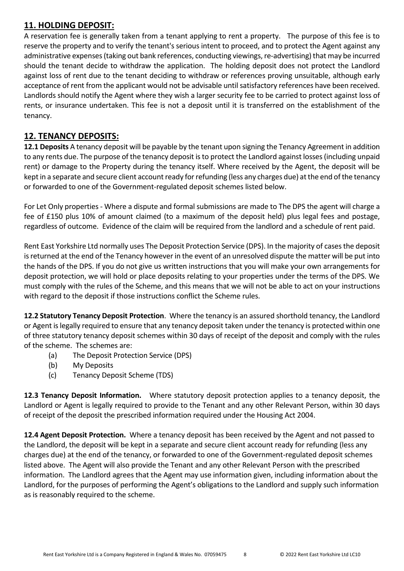# **11. HOLDING DEPOSIT:**

A reservation fee is generally taken from a tenant applying to rent a property. The purpose of this fee is to reserve the property and to verify the tenant's serious intent to proceed, and to protect the Agent against any administrative expenses (taking out bank references, conducting viewings, re-advertising) that may be incurred should the tenant decide to withdraw the application. The holding deposit does not protect the Landlord against loss of rent due to the tenant deciding to withdraw or references proving unsuitable, although early acceptance of rent from the applicant would not be advisable until satisfactory references have been received. Landlords should notify the Agent where they wish a larger security fee to be carried to protect against loss of rents, or insurance undertaken. This fee is not a deposit until it is transferred on the establishment of the tenancy.

## **12. TENANCY DEPOSITS:**

**12.1 Deposits** A tenancy deposit will be payable by the tenant upon signing the Tenancy Agreement in addition to any rents due. The purpose of the tenancy deposit is to protect the Landlord against losses (including unpaid rent) or damage to the Property during the tenancy itself. Where received by the Agent, the deposit will be kept in a separate and secure client account ready for refunding (less any charges due) at the end of the tenancy or forwarded to one of the Government-regulated deposit schemes listed below.

For Let Only properties - Where a dispute and formal submissions are made to The DPS the agent will charge a fee of £150 plus 10% of amount claimed (to a maximum of the deposit held) plus legal fees and postage, regardless of outcome. Evidence of the claim will be required from the landlord and a schedule of rent paid.

Rent East Yorkshire Ltd normally uses The Deposit Protection Service (DPS). In the majority of cases the deposit is returned at the end of the Tenancy however in the event of an unresolved dispute the matter will be put into the hands of the DPS. If you do not give us written instructions that you will make your own arrangements for deposit protection, we will hold or place deposits relating to your properties under the terms of the DPS. We must comply with the rules of the Scheme, and this means that we will not be able to act on your instructions with regard to the deposit if those instructions conflict the Scheme rules.

**12.2 Statutory Tenancy Deposit Protection**. Where the tenancy is an assured shorthold tenancy, the Landlord or Agent is legally required to ensure that any tenancy deposit taken under the tenancy is protected within one of three statutory tenancy deposit schemes within 30 days of receipt of the deposit and comply with the rules of the scheme. The schemes are:

- (a) The Deposit Protection Service (DPS)
- (b) My Deposits
- (c) Tenancy Deposit Scheme (TDS)

**12.3 Tenancy Deposit Information.** Where statutory deposit protection applies to a tenancy deposit, the Landlord or Agent is legally required to provide to the Tenant and any other Relevant Person, within 30 days of receipt of the deposit the prescribed information required under the Housing Act 2004.

**12.4 Agent Deposit Protection.** Where a tenancy deposit has been received by the Agent and not passed to the Landlord, the deposit will be kept in a separate and secure client account ready for refunding (less any charges due) at the end of the tenancy, or forwarded to one of the Government-regulated deposit schemes listed above. The Agent will also provide the Tenant and any other Relevant Person with the prescribed information. The Landlord agrees that the Agent may use information given, including information about the Landlord, for the purposes of performing the Agent's obligations to the Landlord and supply such information as is reasonably required to the scheme.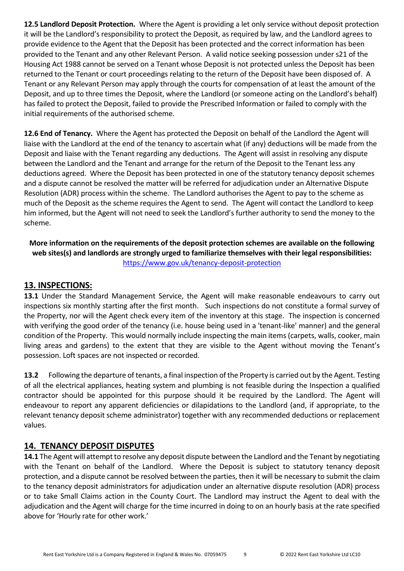**12.5 Landlord Deposit Protection.** Where the Agent is providing a let only service without deposit protection it will be the Landlord's responsibility to protect the Deposit, as required by law, and the Landlord agrees to provide evidence to the Agent that the Deposit has been protected and the correct information has been provided to the Tenant and any other Relevant Person. A valid notice seeking possession under s21 of the Housing Act 1988 cannot be served on a Tenant whose Deposit is not protected unless the Deposit has been returned to the Tenant or court proceedings relating to the return of the Deposit have been disposed of. A Tenant or any Relevant Person may apply through the courts for compensation of at least the amount of the Deposit, and up to three times the Deposit, where the Landlord (or someone acting on the Landlord's behalf) has failed to protect the Deposit, failed to provide the Prescribed Information or failed to comply with the initial requirements of the authorised scheme.

**12.6 End of Tenancy.** Where the Agent has protected the Deposit on behalf of the Landlord the Agent will liaise with the Landlord at the end of the tenancy to ascertain what (if any) deductions will be made from the Deposit and liaise with the Tenant regarding any deductions. The Agent will assist in resolving any dispute between the Landlord and the Tenant and arrange for the return of the Deposit to the Tenant less any deductions agreed. Where the Deposit has been protected in one of the statutory tenancy deposit schemes and a dispute cannot be resolved the matter will be referred for adjudication under an Alternative Dispute Resolution (ADR) process within the scheme. The Landlord authorises the Agent to pay to the scheme as much of the Deposit as the scheme requires the Agent to send. The Agent will contact the Landlord to keep him informed, but the Agent will not need to seek the Landlord's further authority to send the money to the scheme.

**More information on the requirements of the deposit protection schemes are available on the following web sites(s) and landlords are strongly urged to familiarize themselves with their legal responsibilities:**  <https://www.gov.uk/tenancy-deposit-protection>

#### **13. INSPECTIONS:**

**13.1** Under the Standard Management Service, the Agent will make reasonable endeavours to carry out inspections six monthly starting after the first month. Such inspections do not constitute a formal survey of the Property, nor will the Agent check every item of the inventory at this stage. The inspection is concerned with verifying the good order of the tenancy (i.e. house being used in a 'tenant-like' manner) and the general condition of the Property. This would normally include inspecting the main items (carpets, walls, cooker, main living areas and gardens) to the extent that they are visible to the Agent without moving the Tenant's possession. Loft spaces are not inspected or recorded.

**13.2** Following the departure of tenants, a final inspection of the Property is carried out by the Agent. Testing of all the electrical appliances, heating system and plumbing is not feasible during the Inspection a qualified contractor should be appointed for this purpose should it be required by the Landlord. The Agent will endeavour to report any apparent deficiencies or dilapidations to the Landlord (and, if appropriate, to the relevant tenancy deposit scheme administrator) together with any recommended deductions or replacement values.

#### **14. TENANCY DEPOSIT DISPUTES**

**14.1** The Agent will attempt to resolve any deposit dispute between the Landlord and the Tenant by negotiating with the Tenant on behalf of the Landlord. Where the Deposit is subject to statutory tenancy deposit protection, and a dispute cannot be resolved between the parties, then it will be necessary to submit the claim to the tenancy deposit administrators for adjudication under an alternative dispute resolution (ADR) process or to take Small Claims action in the County Court. The Landlord may instruct the Agent to deal with the adjudication and the Agent will charge for the time incurred in doing to on an hourly basis at the rate specified above for 'Hourly rate for other work.'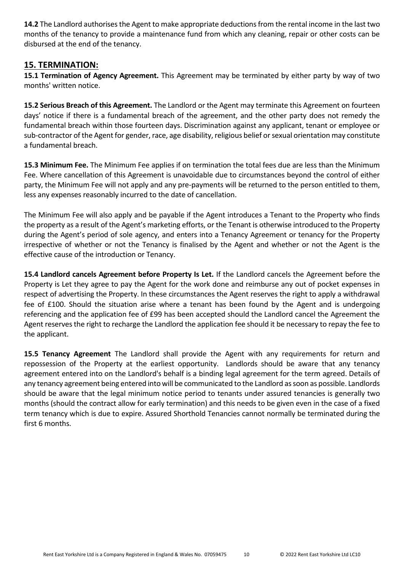**14.2** The Landlord authorises the Agent to make appropriate deductions from the rental income in the last two months of the tenancy to provide a maintenance fund from which any cleaning, repair or other costs can be disbursed at the end of the tenancy.

#### **15. TERMINATION:**

**15.1 Termination of Agency Agreement.** This Agreement may be terminated by either party by way of two months' written notice.

**15.2 Serious Breach of this Agreement.** The Landlord or the Agent may terminate this Agreement on fourteen days' notice if there is a fundamental breach of the agreement, and the other party does not remedy the fundamental breach within those fourteen days. Discrimination against any applicant, tenant or employee or sub-contractor of the Agent for gender, race, age disability, religious belief or sexual orientation may constitute a fundamental breach.

**15.3 Minimum Fee.** The Minimum Fee applies if on termination the total fees due are less than the Minimum Fee. Where cancellation of this Agreement is unavoidable due to circumstances beyond the control of either party, the Minimum Fee will not apply and any pre-payments will be returned to the person entitled to them, less any expenses reasonably incurred to the date of cancellation.

The Minimum Fee will also apply and be payable if the Agent introduces a Tenant to the Property who finds the property as a result of the Agent's marketing efforts, or the Tenant is otherwise introduced to the Property during the Agent's period of sole agency, and enters into a Tenancy Agreement or tenancy for the Property irrespective of whether or not the Tenancy is finalised by the Agent and whether or not the Agent is the effective cause of the introduction or Tenancy.

**15.4 Landlord cancels Agreement before Property Is Let.** If the Landlord cancels the Agreement before the Property is Let they agree to pay the Agent for the work done and reimburse any out of pocket expenses in respect of advertising the Property. In these circumstances the Agent reserves the right to apply a withdrawal fee of £100. Should the situation arise where a tenant has been found by the Agent and is undergoing referencing and the application fee of £99 has been accepted should the Landlord cancel the Agreement the Agent reserves the right to recharge the Landlord the application fee should it be necessary to repay the fee to the applicant.

**15.5 Tenancy Agreement** The Landlord shall provide the Agent with any requirements for return and repossession of the Property at the earliest opportunity. Landlords should be aware that any tenancy agreement entered into on the Landlord's behalf is a binding legal agreement for the term agreed. Details of any tenancy agreement being entered into will be communicated to the Landlord as soon as possible. Landlords should be aware that the legal minimum notice period to tenants under assured tenancies is generally two months (should the contract allow for early termination) and this needs to be given even in the case of a fixed term tenancy which is due to expire. Assured Shorthold Tenancies cannot normally be terminated during the first 6 months.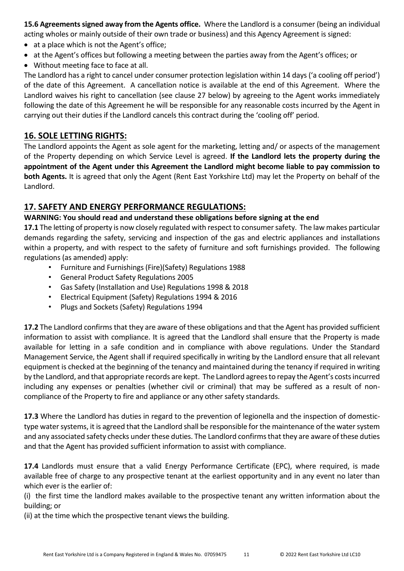**15.6 Agreements signed away from the Agents office.** Where the Landlord is a consumer (being an individual acting wholes or mainly outside of their own trade or business) and this Agency Agreement is signed:

- at a place which is not the Agent's office;
- at the Agent's offices but following a meeting between the parties away from the Agent's offices; or
- Without meeting face to face at all.

The Landlord has a right to cancel under consumer protection legislation within 14 days ('a cooling off period') of the date of this Agreement. A cancellation notice is available at the end of this Agreement. Where the Landlord waives his right to cancellation (see clause 27 below) by agreeing to the Agent works immediately following the date of this Agreement he will be responsible for any reasonable costs incurred by the Agent in carrying out their duties if the Landlord cancels this contract during the 'cooling off' period.

# **16. SOLE LETTING RIGHTS:**

The Landlord appoints the Agent as sole agent for the marketing, letting and/ or aspects of the management of the Property depending on which Service Level is agreed. **If the Landlord lets the property during the appointment of the Agent under this Agreement the Landlord might become liable to pay commission to both Agents.** It is agreed that only the Agent (Rent East Yorkshire Ltd) may let the Property on behalf of the Landlord.

## **17. SAFETY AND ENERGY PERFORMANCE REGULATIONS:**

#### **WARNING: You should read and understand these obligations before signing at the end**

**17.1** The letting of property is now closely regulated with respect to consumer safety. The law makes particular demands regarding the safety, servicing and inspection of the gas and electric appliances and installations within a property, and with respect to the safety of furniture and soft furnishings provided. The following regulations (as amended) apply:

- Furniture and Furnishings (Fire)(Safety) Regulations 1988
- General Product Safety Regulations 2005
- Gas Safety (Installation and Use) Regulations 1998 & 2018
- Electrical Equipment (Safety) Regulations 1994 & 2016
- Plugs and Sockets (Safety) Regulations 1994

**17.2** The Landlord confirms that they are aware of these obligations and that the Agent has provided sufficient information to assist with compliance. It is agreed that the Landlord shall ensure that the Property is made available for letting in a safe condition and in compliance with above regulations. Under the Standard Management Service, the Agent shall if required specifically in writing by the Landlord ensure that all relevant equipment is checked at the beginning of the tenancy and maintained during the tenancy if required in writing by the Landlord, and that appropriate records are kept. The Landlord agrees to repay the Agent's costs incurred including any expenses or penalties (whether civil or criminal) that may be suffered as a result of noncompliance of the Property to fire and appliance or any other safety standards.

**17.3** Where the Landlord has duties in regard to the prevention of legionella and the inspection of domestictype water systems, it is agreed that the Landlord shall be responsible for the maintenance of the water system and any associated safety checks under these duties. The Landlord confirms that they are aware of these duties and that the Agent has provided sufficient information to assist with compliance.

**17.4** Landlords must ensure that a valid Energy Performance Certificate (EPC), where required, is made available free of charge to any prospective tenant at the earliest opportunity and in any event no later than which ever is the earlier of:

(i) the first time the landlord makes available to the prospective tenant any written information about the building; or

(ii) at the time which the prospective tenant views the building.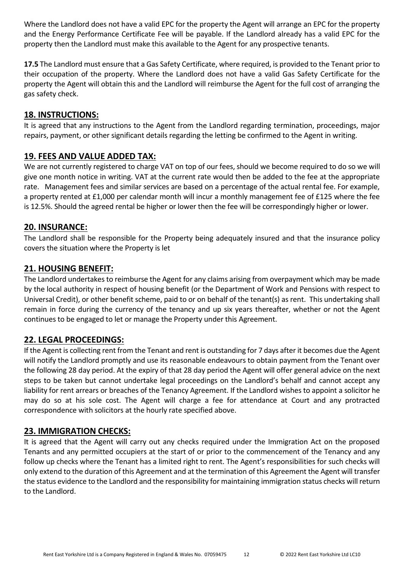Where the Landlord does not have a valid EPC for the property the Agent will arrange an EPC for the property and the Energy Performance Certificate Fee will be payable. If the Landlord already has a valid EPC for the property then the Landlord must make this available to the Agent for any prospective tenants.

**17.5** The Landlord must ensure that a Gas Safety Certificate, where required, is provided to the Tenant prior to their occupation of the property. Where the Landlord does not have a valid Gas Safety Certificate for the property the Agent will obtain this and the Landlord will reimburse the Agent for the full cost of arranging the gas safety check.

#### **18. INSTRUCTIONS:**

It is agreed that any instructions to the Agent from the Landlord regarding termination, proceedings, major repairs, payment, or other significant details regarding the letting be confirmed to the Agent in writing.

#### **19. FEES AND VALUE ADDED TAX:**

We are not currently registered to charge VAT on top of our fees, should we become required to do so we will give one month notice in writing. VAT at the current rate would then be added to the fee at the appropriate rate. Management fees and similar services are based on a percentage of the actual rental fee. For example, a property rented at £1,000 per calendar month will incur a monthly management fee of £125 where the fee is 12.5%. Should the agreed rental be higher or lower then the fee will be correspondingly higher or lower.

#### **20. INSURANCE:**

The Landlord shall be responsible for the Property being adequately insured and that the insurance policy covers the situation where the Property is let

#### **21. HOUSING BENEFIT:**

The Landlord undertakes to reimburse the Agent for any claims arising from overpayment which may be made by the local authority in respect of housing benefit (or the Department of Work and Pensions with respect to Universal Credit), or other benefit scheme, paid to or on behalf of the tenant(s) as rent. This undertaking shall remain in force during the currency of the tenancy and up six years thereafter, whether or not the Agent continues to be engaged to let or manage the Property under this Agreement.

#### **22. LEGAL PROCEEDINGS:**

If the Agent is collecting rent from the Tenant and rent is outstanding for 7 days after it becomes due the Agent will notify the Landlord promptly and use its reasonable endeavours to obtain payment from the Tenant over the following 28 day period. At the expiry of that 28 day period the Agent will offer general advice on the next steps to be taken but cannot undertake legal proceedings on the Landlord's behalf and cannot accept any liability for rent arrears or breaches of the Tenancy Agreement. If the Landlord wishes to appoint a solicitor he may do so at his sole cost. The Agent will charge a fee for attendance at Court and any protracted correspondence with solicitors at the hourly rate specified above.

#### **23. IMMIGRATION CHECKS:**

It is agreed that the Agent will carry out any checks required under the Immigration Act on the proposed Tenants and any permitted occupiers at the start of or prior to the commencement of the Tenancy and any follow up checks where the Tenant has a limited right to rent. The Agent's responsibilities for such checks will only extend to the duration of this Agreement and at the termination of this Agreement the Agent will transfer the status evidence to the Landlord and the responsibility for maintaining immigration status checks will return to the Landlord.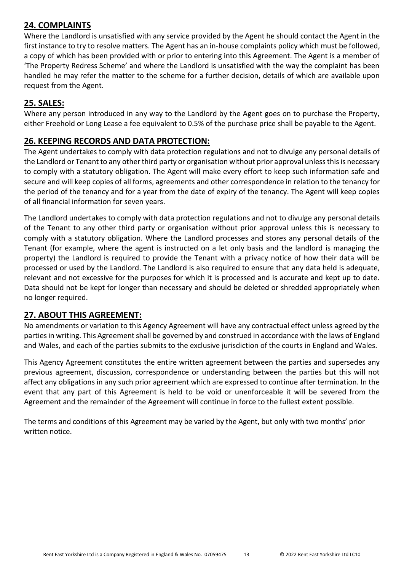## **24. COMPLAINTS**

Where the Landlord is unsatisfied with any service provided by the Agent he should contact the Agent in the first instance to try to resolve matters. The Agent has an in-house complaints policy which must be followed, a copy of which has been provided with or prior to entering into this Agreement. The Agent is a member of 'The Property Redress Scheme' and where the Landlord is unsatisfied with the way the complaint has been handled he may refer the matter to the scheme for a further decision, details of which are available upon request from the Agent.

### **25. SALES:**

Where any person introduced in any way to the Landlord by the Agent goes on to purchase the Property, either Freehold or Long Lease a fee equivalent to 0.5% of the purchase price shall be payable to the Agent.

#### **26. KEEPING RECORDS AND DATA PROTECTION:**

The Agent undertakes to comply with data protection regulations and not to divulge any personal details of the Landlord or Tenant to any other third party or organisation without prior approval unless this is necessary to comply with a statutory obligation. The Agent will make every effort to keep such information safe and secure and will keep copies of all forms, agreements and other correspondence in relation to the tenancy for the period of the tenancy and for a year from the date of expiry of the tenancy. The Agent will keep copies of all financial information for seven years.

The Landlord undertakes to comply with data protection regulations and not to divulge any personal details of the Tenant to any other third party or organisation without prior approval unless this is necessary to comply with a statutory obligation. Where the Landlord processes and stores any personal details of the Tenant (for example, where the agent is instructed on a let only basis and the landlord is managing the property) the Landlord is required to provide the Tenant with a privacy notice of how their data will be processed or used by the Landlord. The Landlord is also required to ensure that any data held is adequate, relevant and not excessive for the purposes for which it is processed and is accurate and kept up to date. Data should not be kept for longer than necessary and should be deleted or shredded appropriately when no longer required.

#### **27. ABOUT THIS AGREEMENT:**

No amendments or variation to this Agency Agreement will have any contractual effect unless agreed by the parties in writing. This Agreement shall be governed by and construed in accordance with the laws of England and Wales, and each of the parties submits to the exclusive jurisdiction of the courts in England and Wales.

This Agency Agreement constitutes the entire written agreement between the parties and supersedes any previous agreement, discussion, correspondence or understanding between the parties but this will not affect any obligations in any such prior agreement which are expressed to continue after termination. In the event that any part of this Agreement is held to be void or unenforceable it will be severed from the Agreement and the remainder of the Agreement will continue in force to the fullest extent possible.

The terms and conditions of this Agreement may be varied by the Agent, but only with two months' prior written notice.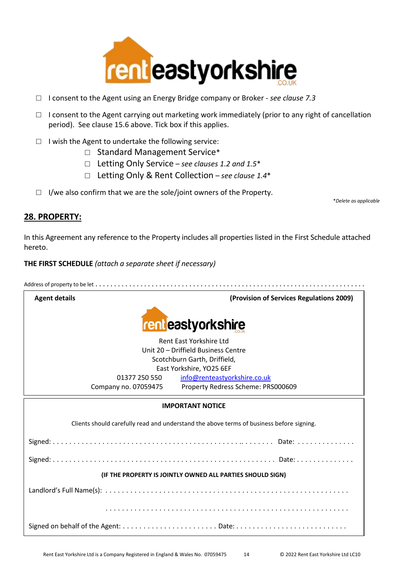

- □ I consent to the Agent using an Energy Bridge company or Broker *- see clause 7.3*
- □ I consent to the Agent carrying out marketing work immediately (prior to any right of cancellation period). See clause 15.6 above. Tick box if this applies.
- □ I wish the Agent to undertake the following service:
	- □ Standard Management Service\*
	- □ Letting Only Service *see clauses 1.2 and 1.5*\*
	- □ Letting Only & Rent Collection *see clause 1.4*\*
- $\Box$  I/we also confirm that we are the sole/joint owners of the Property.

\**Delete as applicable*

#### **28. PROPERTY:**

In this Agreement any reference to the Property includes all properties listed in the First Schedule attached hereto.

**THE FIRST SCHEDULE** *(attach a separate sheet if necessary)*

Address of property to be let . . . . . . . . . . . . . . . . . . . . . . . . . . . . . . . . . . . . . . . . . . . . . . . . . . . . . . . . . . . . . . . . . . . . . . . .



**Agent details (Provision of Services Regulations 2009)**



Rent East Yorkshire Ltd Unit 20 – Driffield Business Centre Scotchburn Garth, Driffield, East Yorkshire, YO25 6EF 01377 250 550 [info@renteastyorkshire.co.uk](mailto:info@renteastyorkshire.co.uk) Company no. 07059475 Property Redress Scheme: PRS000609

#### **IMPORTANT NOTICE**

Clients should carefully read and understand the above terms of business before signing.

Signed: . . . . . . . . . . . . . . . . . . . . . . . . . . . . . . . . . . . . . . . . . . . . . .. . . . . . . . Date: . . . . . . . . . . . . . . Signed: . . . . . . . . . . . . . . . . . . . . . . . . . . . . . . . . . . . . . . . . . . . . . . . . . . . . . . Date: . . . . . . . . . . . . . . **(IF THE PROPERTY IS JOINTLY OWNED ALL PARTIES SHOULD SIGN)** Landlord's Full Name(s): . . . . . . . . . . . . . . . . . . . . . . . . . . . . . . . . . . . . . . . . . . . . . . . . . . . . . . . . . . . . . . . . . . . . . . . . . . . . . . . . . . . . . . . . . . . . . . . . . . . . . . . . . . . . . . . . . . . . . . Signed on behalf of the Agent: . . . . . . . . . . . . . . . . . . . . . . . Date: . . . . . . . . . . . . . . . . . . . . . . . . . . .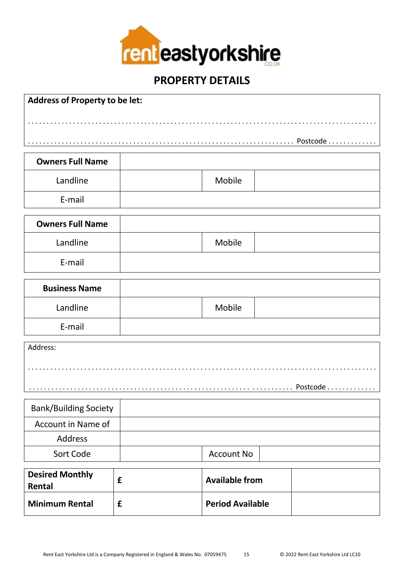

# **PROPERTY DETAILS**

| Address of Property to be let:   |   |                       |  |  |
|----------------------------------|---|-----------------------|--|--|
|                                  |   |                       |  |  |
|                                  |   |                       |  |  |
|                                  |   |                       |  |  |
| <b>Owners Full Name</b>          |   |                       |  |  |
| Landline                         |   | Mobile                |  |  |
| E-mail                           |   |                       |  |  |
| <b>Owners Full Name</b>          |   |                       |  |  |
| Landline                         |   | Mobile                |  |  |
| E-mail                           |   |                       |  |  |
| <b>Business Name</b>             |   |                       |  |  |
| Landline                         |   | Mobile                |  |  |
| E-mail                           |   |                       |  |  |
| Address:                         |   |                       |  |  |
|                                  |   |                       |  |  |
|                                  |   |                       |  |  |
| <b>Bank/Building Society</b>     |   |                       |  |  |
| Account in Name of               |   |                       |  |  |
| Address                          |   |                       |  |  |
| Sort Code                        |   | <b>Account No</b>     |  |  |
| <b>Desired Monthly</b><br>Rental | £ | <b>Available from</b> |  |  |

**Minimum Rental £ Period Available**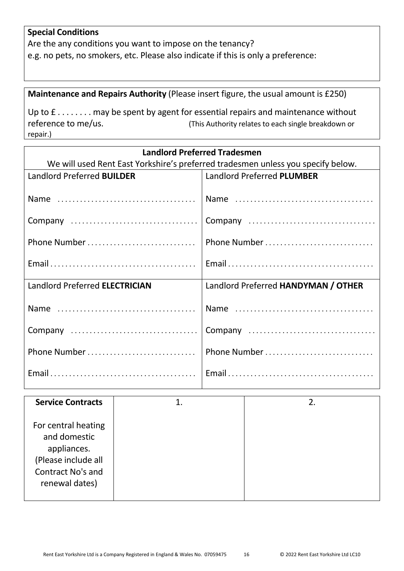# **Special Conditions**

Are the any conditions you want to impose on the tenancy? e.g. no pets, no smokers, etc. Please also indicate if this is only a preference:

**Maintenance and Repairs Authority** (Please insert figure, the usual amount is £250)

Up to  $f$ ....... may be spent by agent for essential repairs and maintenance without reference to me/us. (This Authority relates to each single breakdown or repair.)

| <b>Landlord Preferred Tradesmen</b>                                              |                                     |  |
|----------------------------------------------------------------------------------|-------------------------------------|--|
| We will used Rent East Yorkshire's preferred tradesmen unless you specify below. |                                     |  |
| Landlord Preferred <b>BUILDER</b>                                                | Landlord Preferred PLUMBER          |  |
|                                                                                  |                                     |  |
|                                                                                  |                                     |  |
|                                                                                  |                                     |  |
|                                                                                  |                                     |  |
| Phone Number                                                                     | Phone Number                        |  |
|                                                                                  |                                     |  |
|                                                                                  |                                     |  |
|                                                                                  |                                     |  |
| Landlord Preferred ELECTRICIAN                                                   | Landlord Preferred HANDYMAN / OTHER |  |
|                                                                                  |                                     |  |
|                                                                                  |                                     |  |
|                                                                                  |                                     |  |
|                                                                                  |                                     |  |
| Phone Number                                                                     | Phone Number                        |  |
|                                                                                  |                                     |  |
|                                                                                  |                                     |  |
|                                                                                  |                                     |  |

| <b>Service Contracts</b>                                                                                                | 2. |
|-------------------------------------------------------------------------------------------------------------------------|----|
| For central heating<br>and domestic<br>appliances.<br>(Please include all<br><b>Contract No's and</b><br>renewal dates) |    |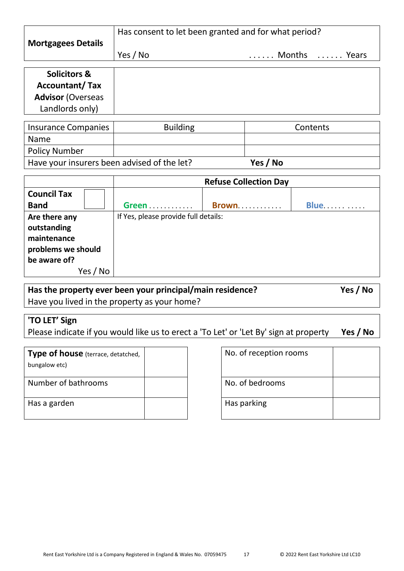|                           | Has consent to let been granted and for what period? |               |
|---------------------------|------------------------------------------------------|---------------|
| <b>Mortgagees Details</b> |                                                      |               |
|                           | Yes / No                                             | Months  Years |

| <b>Solicitors &amp;</b><br><b>Accountant/Tax</b> |
|--------------------------------------------------|
| <b>Advisor (Overseas</b>                         |
| Landlords only)                                  |

| Insurance Companies                         | <b>Building</b> | Contents |
|---------------------------------------------|-----------------|----------|
| <b>Name</b>                                 |                 |          |
| <b>Policy Number</b>                        |                 |          |
| Have your insurers been advised of the let? |                 | Yes / No |

|                    | <b>Refuse Collection Day</b>         |  |             |
|--------------------|--------------------------------------|--|-------------|
| <b>Council Tax</b> |                                      |  |             |
| <b>Band</b>        | Green                                |  | <b>Blue</b> |
| Are there any      | If Yes, please provide full details: |  |             |
| outstanding        |                                      |  |             |
| maintenance        |                                      |  |             |
| problems we should |                                      |  |             |
| be aware of?       |                                      |  |             |
| Yes / No           |                                      |  |             |

**Has the property ever been your principal/main residence? Yes / No** Have you lived in the property as your home?

# **'TO LET' Sign**

Please indicate if you would like us to erect a 'To Let' or 'Let By' sign at property **Yes / No**

| Type of house (terrace, detatched,<br>bungalow etc) |  | No. of reception |
|-----------------------------------------------------|--|------------------|
| Number of bathrooms                                 |  | No. of bedrooms  |
| Has a garden                                        |  | Has parking      |

| No. of reception rooms |  |
|------------------------|--|
| No. of bedrooms        |  |
| Has parking            |  |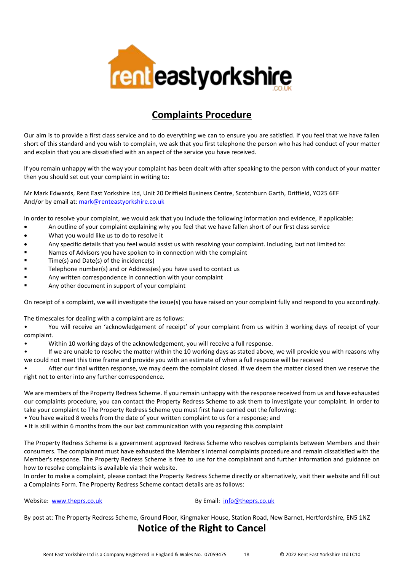

# **Complaints Procedure**

Our aim is to provide a first class service and to do everything we can to ensure you are satisfied. If you feel that we have fallen short of this standard and you wish to complain, we ask that you first telephone the person who has had conduct of your matter and explain that you are dissatisfied with an aspect of the service you have received.

If you remain unhappy with the way your complaint has been dealt with after speaking to the person with conduct of your matter then you should set out your complaint in writing to:

Mr Mark Edwards, Rent East Yorkshire Ltd, Unit 20 Driffield Business Centre, Scotchburn Garth, Driffield, YO25 6EF And/or by email at: [mark@renteastyorkshire.co.uk](mailto:mark@renteastyorkshire.co.uk)

In order to resolve your complaint, we would ask that you include the following information and evidence, if applicable:

- An outline of your complaint explaining why you feel that we have fallen short of our first class service
- What you would like us to do to resolve it
- Any specific details that you feel would assist us with resolving your complaint. Including, but not limited to:
- Names of Advisors you have spoken to in connection with the complaint
- Time(s) and Date(s) of the incidence(s)
- Telephone number(s) and or Address(es) you have used to contact us
- Any written correspondence in connection with your complaint
- Any other document in support of your complaint

On receipt of a complaint, we will investigate the issue(s) you have raised on your complaint fully and respond to you accordingly.

The timescales for dealing with a complaint are as follows:

• You will receive an 'acknowledgement of receipt' of your complaint from us within 3 working days of receipt of your complaint.

• Within 10 working days of the acknowledgement, you will receive a full response.

• If we are unable to resolve the matter within the 10 working days as stated above, we will provide you with reasons why we could not meet this time frame and provide you with an estimate of when a full response will be received

• After our final written response, we may deem the complaint closed. If we deem the matter closed then we reserve the right not to enter into any further correspondence.

We are members of the Property Redress Scheme. If you remain unhappy with the response received from us and have exhausted our complaints procedure, you can contact the Property Redress Scheme to ask them to investigate your complaint. In order to take your complaint to The Property Redress Scheme you must first have carried out the following:

• You have waited 8 weeks from the date of your written complaint to us for a response; and

• It is still within 6 months from the our last communication with you regarding this complaint

The Property Redress Scheme is a government approved Redress Scheme who resolves complaints between Members and their consumers. The complainant must have exhausted the Member's internal complaints procedure and remain dissatisfied with the Member's response. The Property Redress Scheme is free to use for the complainant and further information and guidance on how to resolve complaints is available via their website.

In order to make a complaint, please contact the Property Redress Scheme directly or alternatively, visit their website and fill out a Complaints Form. The Property Redress Scheme contact details are as follows:

#### Website: [www.theprs.co.uk](http://www.theprs.co.uk/) By Email: [info@theprs.co.uk](mailto:info@theprs.co.uk)

By post at: The Property Redress Scheme, Ground Floor, Kingmaker House, Station Road, New Barnet, Hertfordshire, EN5 1NZ

## **Notice of the Right to Cancel**